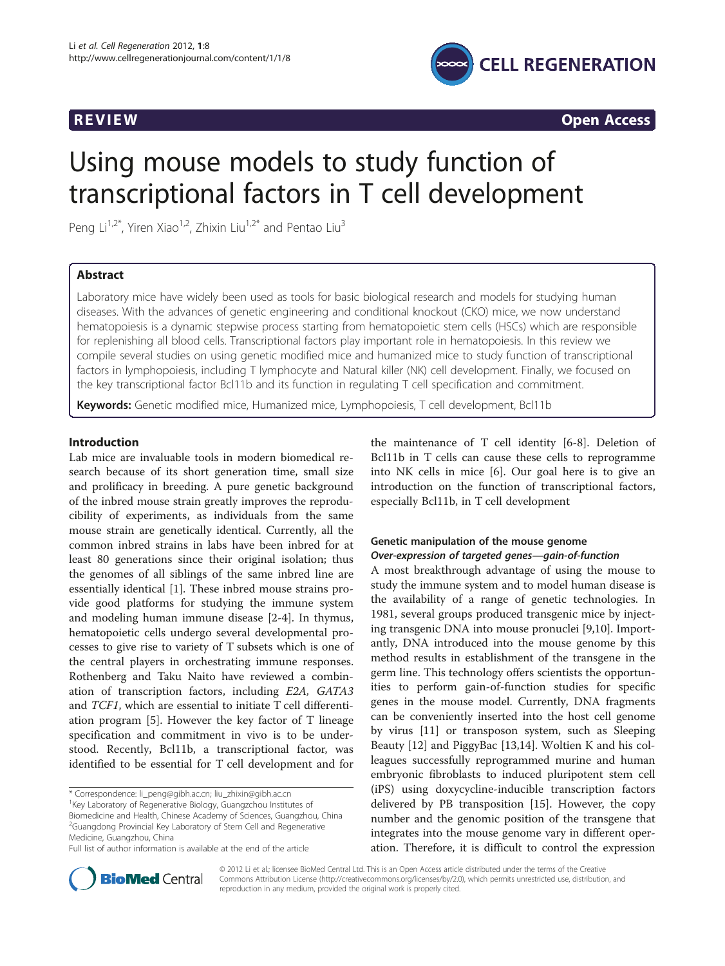

**REVIEW REVIEW CONSTRUCTER CONSTRUCTION** 

# Using mouse models to study function of transcriptional factors in T cell development

Peng Li<sup>1,2\*</sup>, Yiren Xiao<sup>1,2</sup>, Zhixin Liu<sup>1,2\*</sup> and Pentao Liu<sup>3</sup>

# Abstract

Laboratory mice have widely been used as tools for basic biological research and models for studying human diseases. With the advances of genetic engineering and conditional knockout (CKO) mice, we now understand hematopoiesis is a dynamic stepwise process starting from hematopoietic stem cells (HSCs) which are responsible for replenishing all blood cells. Transcriptional factors play important role in hematopoiesis. In this review we compile several studies on using genetic modified mice and humanized mice to study function of transcriptional factors in lymphopoiesis, including T lymphocyte and Natural killer (NK) cell development. Finally, we focused on the key transcriptional factor Bcl11b and its function in regulating T cell specification and commitment.

Keywords: Genetic modified mice, Humanized mice, Lymphopoiesis, T cell development, Bcl11b

# Introduction

Lab mice are invaluable tools in modern biomedical research because of its short generation time, small size and prolificacy in breeding. A pure genetic background of the inbred mouse strain greatly improves the reproducibility of experiments, as individuals from the same mouse strain are genetically identical. Currently, all the common inbred strains in labs have been inbred for at least 80 generations since their original isolation; thus the genomes of all siblings of the same inbred line are essentially identical [\[1](#page-8-0)]. These inbred mouse strains provide good platforms for studying the immune system and modeling human immune disease [\[2](#page-8-0)-[4\]](#page-9-0). In thymus, hematopoietic cells undergo several developmental processes to give rise to variety of T subsets which is one of the central players in orchestrating immune responses. Rothenberg and Taku Naito have reviewed a combination of transcription factors, including E2A, GATA3 and TCF1, which are essential to initiate T cell differentiation program [\[5](#page-9-0)]. However the key factor of T lineage specification and commitment in vivo is to be understood. Recently, Bcl11b, a transcriptional factor, was identified to be essential for T cell development and for

\* Correspondence: [li\\_peng@gibh.ac.cn;](mailto:li_peng@gibh.ac.cn) [liu\\_zhixin@gibh.ac.cn](mailto:liu_zhixin@gibh.ac.cn) <sup>1</sup>

<sup>1</sup>Key Laboratory of Regenerative Biology, Guangzchou Institutes of

Biomedicine and Health, Chinese Academy of Sciences, Guangzhou, China <sup>2</sup>Guangdong Provincial Key Laboratory of Stem Cell and Regenerative Medicine, Guangzhou, China

the maintenance of T cell identity [[6-8](#page-9-0)]. Deletion of Bcl11b in T cells can cause these cells to reprogramme into NK cells in mice [[6](#page-9-0)]. Our goal here is to give an introduction on the function of transcriptional factors, especially Bcl11b, in T cell development

# Genetic manipulation of the mouse genome Over-expression of targeted genes—gain-of-function

A most breakthrough advantage of using the mouse to study the immune system and to model human disease is the availability of a range of genetic technologies. In 1981, several groups produced transgenic mice by injecting transgenic DNA into mouse pronuclei [[9,10\]](#page-9-0). Importantly, DNA introduced into the mouse genome by this method results in establishment of the transgene in the germ line. This technology offers scientists the opportunities to perform gain-of-function studies for specific genes in the mouse model. Currently, DNA fragments can be conveniently inserted into the host cell genome by virus [\[11\]](#page-9-0) or transposon system, such as Sleeping Beauty [\[12](#page-9-0)] and PiggyBac [[13,14\]](#page-9-0). Woltien K and his colleagues successfully reprogrammed murine and human embryonic fibroblasts to induced pluripotent stem cell (iPS) using doxycycline-inducible transcription factors delivered by PB transposition [[15](#page-9-0)]. However, the copy number and the genomic position of the transgene that integrates into the mouse genome vary in different operation. Therefore, it is difficult to control the expression



© 2012 Li et al.; licensee BioMed Central Ltd. This is an Open Access article distributed under the terms of the Creative Commons Attribution License [\(http://creativecommons.org/licenses/by/2.0\)](http://creativecommons.org/licenses/by/2.0), which permits unrestricted use, distribution, and reproduction in any medium, provided the original work is properly cited.

Full list of author information is available at the end of the article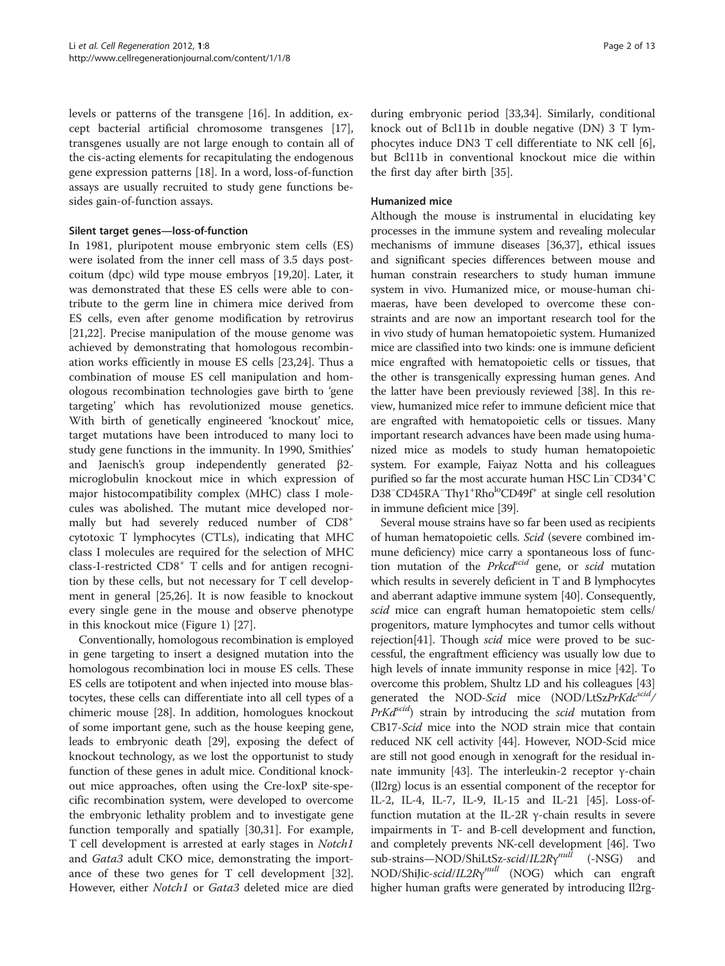levels or patterns of the transgene [[16\]](#page-9-0). In addition, except bacterial artificial chromosome transgenes [\[17](#page-9-0)], transgenes usually are not large enough to contain all of the cis-acting elements for recapitulating the endogenous gene expression patterns [[18](#page-9-0)]. In a word, loss-of-function assays are usually recruited to study gene functions besides gain-of-function assays.

#### Silent target genes—loss-of-function

In 1981, pluripotent mouse embryonic stem cells (ES) were isolated from the inner cell mass of 3.5 days postcoitum (dpc) wild type mouse embryos [[19](#page-9-0),[20](#page-9-0)]. Later, it was demonstrated that these ES cells were able to contribute to the germ line in chimera mice derived from ES cells, even after genome modification by retrovirus [[21,22\]](#page-9-0). Precise manipulation of the mouse genome was achieved by demonstrating that homologous recombination works efficiently in mouse ES cells [\[23,24](#page-9-0)]. Thus a combination of mouse ES cell manipulation and homologous recombination technologies gave birth to 'gene targeting' which has revolutionized mouse genetics. With birth of genetically engineered 'knockout' mice, target mutations have been introduced to many loci to study gene functions in the immunity. In 1990, Smithies' and Jaenisch's group independently generated β2 microglobulin knockout mice in which expression of major histocompatibility complex (MHC) class I molecules was abolished. The mutant mice developed normally but had severely reduced number of CD8<sup>+</sup> cytotoxic T lymphocytes (CTLs), indicating that MHC class I molecules are required for the selection of MHC class-I-restricted CD8<sup>+</sup> T cells and for antigen recognition by these cells, but not necessary for T cell development in general [\[25,26\]](#page-9-0). It is now feasible to knockout every single gene in the mouse and observe phenotype in this knockout mice (Figure [1\)](#page-2-0) [\[27\]](#page-9-0).

Conventionally, homologous recombination is employed in gene targeting to insert a designed mutation into the homologous recombination loci in mouse ES cells. These ES cells are totipotent and when injected into mouse blastocytes, these cells can differentiate into all cell types of a chimeric mouse [\[28\]](#page-9-0). In addition, homologues knockout of some important gene, such as the house keeping gene, leads to embryonic death [\[29\]](#page-9-0), exposing the defect of knockout technology, as we lost the opportunist to study function of these genes in adult mice. Conditional knockout mice approaches, often using the Cre-loxP site-specific recombination system, were developed to overcome the embryonic lethality problem and to investigate gene function temporally and spatially [\[30,31](#page-9-0)]. For example, T cell development is arrested at early stages in Notch1 and Gata3 adult CKO mice, demonstrating the importance of these two genes for T cell development [\[32](#page-9-0)]. However, either Notch1 or Gata3 deleted mice are died

during embryonic period [\[33,34\]](#page-9-0). Similarly, conditional knock out of Bcl11b in double negative (DN) 3 T lymphocytes induce DN3 T cell differentiate to NK cell [\[6](#page-9-0)], but Bcl11b in conventional knockout mice die within the first day after birth [\[35](#page-9-0)].

# Humanized mice

Although the mouse is instrumental in elucidating key processes in the immune system and revealing molecular mechanisms of immune diseases [\[36,37](#page-9-0)], ethical issues and significant species differences between mouse and human constrain researchers to study human immune system in vivo. Humanized mice, or mouse-human chimaeras, have been developed to overcome these constraints and are now an important research tool for the in vivo study of human hematopoietic system. Humanized mice are classified into two kinds: one is immune deficient mice engrafted with hematopoietic cells or tissues, that the other is transgenically expressing human genes. And the latter have been previously reviewed [[38](#page-9-0)]. In this review, humanized mice refer to immune deficient mice that are engrafted with hematopoietic cells or tissues. Many important research advances have been made using humanized mice as models to study human hematopoietic system. For example, Faiyaz Notta and his colleagues purified so far the most accurate human HSC Lin<sup>-</sup>CD34<sup>+</sup>C D38<sup>-</sup>CD45RA<sup>-</sup>Thy1<sup>+</sup>Rho<sup>lo</sup>CD49f<sup>+</sup> at single cell resolution in immune deficient mice [[39](#page-9-0)].

Several mouse strains have so far been used as recipients of human hematopoietic cells. Scid (severe combined immune deficiency) mice carry a spontaneous loss of function mutation of the Prkcdscid gene, or scid mutation which results in severely deficient in T and B lymphocytes and aberrant adaptive immune system [\[40\]](#page-9-0). Consequently, scid mice can engraft human hematopoietic stem cells/ progenitors, mature lymphocytes and tumor cells without rejection[[41](#page-9-0)]. Though *scid* mice were proved to be successful, the engraftment efficiency was usually low due to high levels of innate immunity response in mice [[42](#page-9-0)]. To overcome this problem, Shultz LD and his colleagues [[43](#page-9-0)] generated the NOD-Scid mice (NOD/LtSzPrKdc<sup>scid</sup>/  $PrKd^{scid}$ ) strain by introducing the scid mutation from CB17-Scid mice into the NOD strain mice that contain reduced NK cell activity [\[44](#page-9-0)]. However, NOD-Scid mice are still not good enough in xenograft for the residual innate immunity [[43](#page-9-0)]. The interleukin-2 receptor γ-chain (Il2rg) locus is an essential component of the receptor for IL-2, IL-4, IL-7, IL-9, IL-15 and IL-21 [[45](#page-9-0)]. Loss-offunction mutation at the IL-2R γ-chain results in severe impairments in T- and B-cell development and function, and completely prevents NK-cell development [[46](#page-9-0)]. Two sub-strains—NOD/ShiLtSz-scid/IL2Rγ<sup>null</sup> (-NSG) and NOD/ShiJic-scid/IL2Rγ<sup>null</sup> (NOG) which can engraft higher human grafts were generated by introducing Il2rg-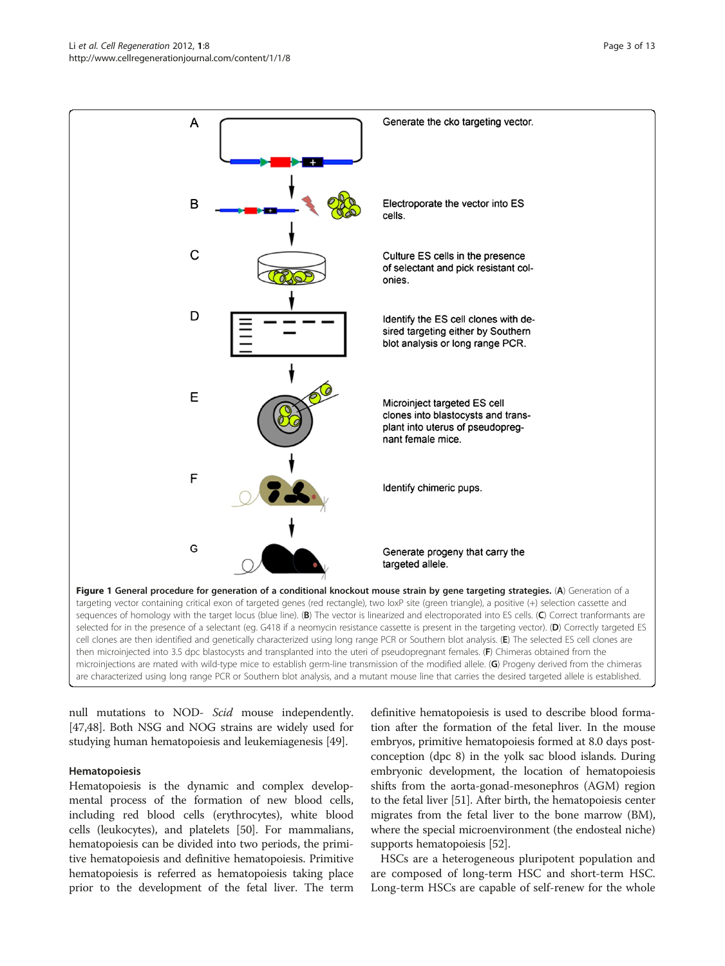<span id="page-2-0"></span>

microinjections are mated with wild-type mice to establish germ-line transmission of the modified allele. (G) Progeny derived from the chimeras are characterized using long range PCR or Southern blot analysis, and a mutant mouse line that carries the desired targeted allele is established.

null mutations to NOD- Scid mouse independently. [[47,48](#page-9-0)]. Both NSG and NOG strains are widely used for studying human hematopoiesis and leukemiagenesis [\[49\]](#page-10-0).

#### Hematopoiesis

Hematopoiesis is the dynamic and complex developmental process of the formation of new blood cells, including red blood cells (erythrocytes), white blood cells (leukocytes), and platelets [\[50\]](#page-10-0). For mammalians, hematopoiesis can be divided into two periods, the primitive hematopoiesis and definitive hematopoiesis. Primitive hematopoiesis is referred as hematopoiesis taking place prior to the development of the fetal liver. The term definitive hematopoiesis is used to describe blood formation after the formation of the fetal liver. In the mouse embryos, primitive hematopoiesis formed at 8.0 days postconception (dpc 8) in the yolk sac blood islands. During embryonic development, the location of hematopoiesis shifts from the aorta-gonad-mesonephros (AGM) region to the fetal liver [[51](#page-10-0)]. After birth, the hematopoiesis center migrates from the fetal liver to the bone marrow (BM), where the special microenvironment (the endosteal niche) supports hematopoiesis [[52](#page-10-0)].

HSCs are a heterogeneous pluripotent population and are composed of long-term HSC and short-term HSC. Long-term HSCs are capable of self-renew for the whole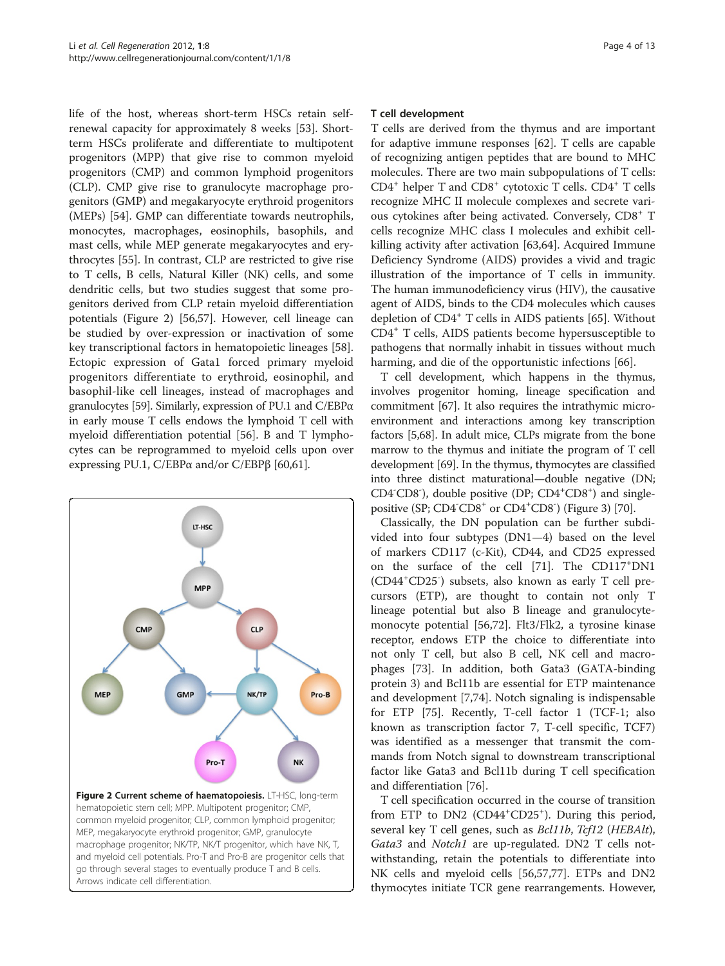life of the host, whereas short-term HSCs retain selfrenewal capacity for approximately 8 weeks [[53\]](#page-10-0). Shortterm HSCs proliferate and differentiate to multipotent progenitors (MPP) that give rise to common myeloid progenitors (CMP) and common lymphoid progenitors (CLP). CMP give rise to granulocyte macrophage progenitors (GMP) and megakaryocyte erythroid progenitors (MEPs) [\[54](#page-10-0)]. GMP can differentiate towards neutrophils, monocytes, macrophages, eosinophils, basophils, and mast cells, while MEP generate megakaryocytes and erythrocytes [\[55](#page-10-0)]. In contrast, CLP are restricted to give rise to T cells, B cells, Natural Killer (NK) cells, and some dendritic cells, but two studies suggest that some progenitors derived from CLP retain myeloid differentiation potentials (Figure 2) [\[56,57](#page-10-0)]. However, cell lineage can be studied by over-expression or inactivation of some key transcriptional factors in hematopoietic lineages [\[58](#page-10-0)]. Ectopic expression of Gata1 forced primary myeloid progenitors differentiate to erythroid, eosinophil, and basophil-like cell lineages, instead of macrophages and granulocytes [\[59\]](#page-10-0). Similarly, expression of PU.1 and C/EBPα in early mouse T cells endows the lymphoid T cell with myeloid differentiation potential [\[56](#page-10-0)]. B and T lymphocytes can be reprogrammed to myeloid cells upon over expressing PU.1, C/EBPα and/or C/EBPβ [\[60,61\]](#page-10-0).



#### T cell development

T cells are derived from the thymus and are important for adaptive immune responses [\[62\]](#page-10-0). T cells are capable of recognizing antigen peptides that are bound to MHC molecules. There are two main subpopulations of T cells:  $CD4^+$  helper T and  $CD8^+$  cytotoxic T cells.  $CD4^+$  T cells recognize MHC II molecule complexes and secrete various cytokines after being activated. Conversely, CD8<sup>+</sup> T cells recognize MHC class I molecules and exhibit cellkilling activity after activation [[63,64\]](#page-10-0). Acquired Immune Deficiency Syndrome (AIDS) provides a vivid and tragic illustration of the importance of T cells in immunity. The human immunodeficiency virus (HIV), the causative agent of AIDS, binds to the CD4 molecules which causes depletion of CD4<sup>+</sup> T cells in AIDS patients [[65\]](#page-10-0). Without CD4<sup>+</sup> T cells, AIDS patients become hypersusceptible to pathogens that normally inhabit in tissues without much harming, and die of the opportunistic infections [[66](#page-10-0)].

T cell development, which happens in the thymus, involves progenitor homing, lineage specification and commitment [\[67\]](#page-10-0). It also requires the intrathymic microenvironment and interactions among key transcription factors [[5,](#page-9-0)[68](#page-10-0)]. In adult mice, CLPs migrate from the bone marrow to the thymus and initiate the program of T cell development [\[69\]](#page-10-0). In the thymus, thymocytes are classified into three distinct maturational—double negative (DN; CD4<sup>-</sup>CD8<sup>-</sup>), double positive (DP; CD4<sup>+</sup>CD8<sup>+</sup>) and single-positive (SP; CD4<sup>-</sup>CD8<sup>+</sup> or CD4<sup>+</sup>CD8<sup>-</sup>) (Figure [3\)](#page-4-0) [[70](#page-10-0)].

Classically, the DN population can be further subdivided into four subtypes (DN1—4) based on the level of markers CD117 (c-Kit), CD44, and CD25 expressed on the surface of the cell [[71\]](#page-10-0). The CD117<sup>+</sup> DN1 (CD44<sup>+</sup> CD25- ) subsets, also known as early T cell precursors (ETP), are thought to contain not only T lineage potential but also B lineage and granulocytemonocyte potential [[56,72\]](#page-10-0). Flt3/Flk2, a tyrosine kinase receptor, endows ETP the choice to differentiate into not only T cell, but also B cell, NK cell and macrophages [[73\]](#page-10-0). In addition, both Gata3 (GATA-binding protein 3) and Bcl11b are essential for ETP maintenance and development [[7,](#page-9-0)[74](#page-10-0)]. Notch signaling is indispensable for ETP [[75](#page-10-0)]. Recently, T-cell factor 1 (TCF-1; also known as transcription factor 7, T-cell specific, TCF7) was identified as a messenger that transmit the commands from Notch signal to downstream transcriptional factor like Gata3 and Bcl11b during T cell specification and differentiation [\[76\]](#page-10-0).

T cell specification occurred in the course of transition from ETP to DN2 (CD44<sup>+</sup>CD25<sup>+</sup>). During this period, several key T cell genes, such as *Bcl11b*, *Tcf12* (*HEBAlt*), Gata3 and *Notch1* are up-regulated. DN2 T cells notwithstanding, retain the potentials to differentiate into NK cells and myeloid cells [\[56,57,77\]](#page-10-0). ETPs and DN2 thymocytes initiate TCR gene rearrangements. However,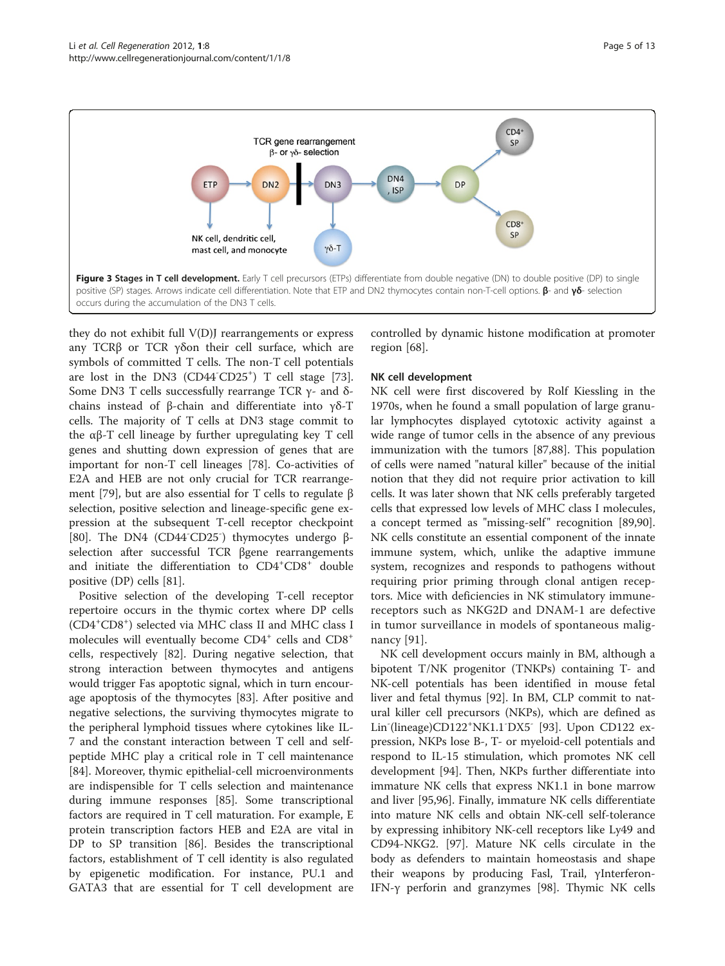<span id="page-4-0"></span>

they do not exhibit full V(D)J rearrangements or express any TCRβ or TCR γδon their cell surface, which are symbols of committed T cells. The non-T cell potentials are lost in the DN3 (CD44<sup>-</sup>CD25<sup>+</sup>) T cell stage [\[73](#page-10-0)]. Some DN3 T cells successfully rearrange TCR  $γ$ - and δchains instead of β-chain and differentiate into γδ-T cells. The majority of T cells at DN3 stage commit to the αβ-T cell lineage by further upregulating key T cell genes and shutting down expression of genes that are important for non-T cell lineages [\[78\]](#page-10-0). Co-activities of E2A and HEB are not only crucial for TCR rearrangement [\[79](#page-10-0)], but are also essential for T cells to regulate β selection, positive selection and lineage-specific gene expression at the subsequent T-cell receptor checkpoint [[80\]](#page-10-0). The DN4 (CD44<sup>-</sup>CD25<sup>-</sup>) thymocytes undergo βselection after successful TCR βgene rearrangements and initiate the differentiation to CD4<sup>+</sup>CD8<sup>+</sup> double positive (DP) cells [[81](#page-10-0)].

Positive selection of the developing T-cell receptor repertoire occurs in the thymic cortex where DP cells (CD4<sup>+</sup> CD8<sup>+</sup> ) selected via MHC class II and MHC class I molecules will eventually become  $CD4^+$  cells and  $CD8^+$ cells, respectively [[82\]](#page-10-0). During negative selection, that strong interaction between thymocytes and antigens would trigger Fas apoptotic signal, which in turn encourage apoptosis of the thymocytes [\[83\]](#page-10-0). After positive and negative selections, the surviving thymocytes migrate to the peripheral lymphoid tissues where cytokines like IL-7 and the constant interaction between T cell and selfpeptide MHC play a critical role in T cell maintenance [[84\]](#page-10-0). Moreover, thymic epithelial-cell microenvironments are indispensible for T cells selection and maintenance during immune responses [\[85\]](#page-10-0). Some transcriptional factors are required in T cell maturation. For example, E protein transcription factors HEB and E2A are vital in DP to SP transition [[86\]](#page-10-0). Besides the transcriptional factors, establishment of T cell identity is also regulated by epigenetic modification. For instance, PU.1 and GATA3 that are essential for T cell development are controlled by dynamic histone modification at promoter region [[68\]](#page-10-0).

# NK cell development

NK cell were first discovered by Rolf Kiessling in the 1970s, when he found a small population of large granular lymphocytes displayed cytotoxic activity against a wide range of tumor cells in the absence of any previous immunization with the tumors [\[87,88](#page-10-0)]. This population of cells were named "natural killer" because of the initial notion that they did not require prior activation to kill cells. It was later shown that NK cells preferably targeted cells that expressed low levels of MHC class I molecules, a concept termed as "missing-self" recognition [\[89,90](#page-10-0)]. NK cells constitute an essential component of the innate immune system, which, unlike the adaptive immune system, recognizes and responds to pathogens without requiring prior priming through clonal antigen receptors. Mice with deficiencies in NK stimulatory immunereceptors such as NKG2D and DNAM-1 are defective in tumor surveillance in models of spontaneous malignancy [\[91\]](#page-10-0).

NK cell development occurs mainly in BM, although a bipotent T/NK progenitor (TNKPs) containing T- and NK-cell potentials has been identified in mouse fetal liver and fetal thymus [\[92](#page-10-0)]. In BM, CLP commit to natural killer cell precursors (NKPs), which are defined as Lin<sup>-</sup>(lineage)CD122<sup>+</sup>NK1.1<sup>-</sup>DX5<sup>-</sup> [\[93\]](#page-10-0). Upon CD122 expression, NKPs lose B-, T- or myeloid-cell potentials and respond to IL-15 stimulation, which promotes NK cell development [\[94](#page-10-0)]. Then, NKPs further differentiate into immature NK cells that express NK1.1 in bone marrow and liver [[95](#page-10-0),[96](#page-10-0)]. Finally, immature NK cells differentiate into mature NK cells and obtain NK-cell self-tolerance by expressing inhibitory NK-cell receptors like Ly49 and CD94-NKG2. [[97](#page-10-0)]. Mature NK cells circulate in the body as defenders to maintain homeostasis and shape their weapons by producing Fasl, Trail, γInterferon-IFN-γ perforin and granzymes [[98](#page-11-0)]. Thymic NK cells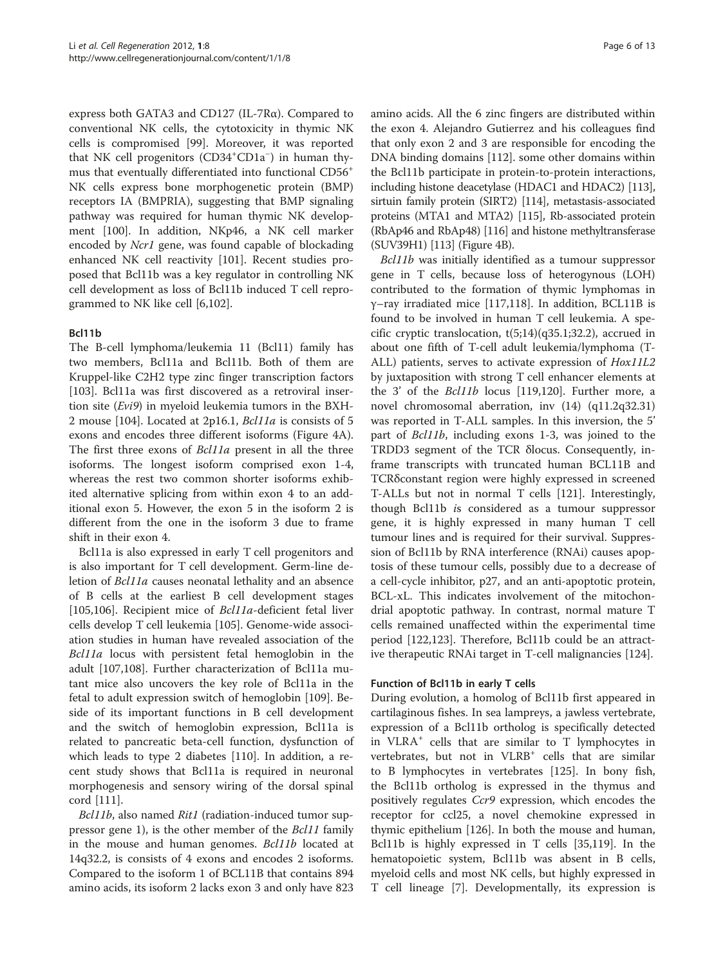express both GATA3 and CD127 (IL-7Rα). Compared to conventional NK cells, the cytotoxicity in thymic NK cells is compromised [\[99](#page-11-0)]. Moreover, it was reported that NK cell progenitors (CD34<sup>+</sup>CD1a<sup>-</sup>) in human thymus that eventually differentiated into functional CD56+ NK cells express bone morphogenetic protein (BMP) receptors IA (BMPRIA), suggesting that BMP signaling pathway was required for human thymic NK development [[100](#page-11-0)]. In addition, NKp46, a NK cell marker encoded by Ncr1 gene, was found capable of blockading enhanced NK cell reactivity [[101](#page-11-0)]. Recent studies proposed that Bcl11b was a key regulator in controlling NK cell development as loss of Bcl11b induced T cell reprogrammed to NK like cell [\[6,](#page-9-0)[102\]](#page-11-0).

# Bcl11b

The B-cell lymphoma/leukemia 11 (Bcl11) family has two members, Bcl11a and Bcl11b. Both of them are Kruppel-like C2H2 type zinc finger transcription factors [[103\]](#page-11-0). Bcl11a was first discovered as a retroviral insertion site (Evi9) in myeloid leukemia tumors in the BXH-2 mouse [[104](#page-11-0)]. Located at 2p16.1, Bcl11a is consists of 5 exons and encodes three different isoforms (Figure [4](#page-6-0)A). The first three exons of *Bcl11a* present in all the three isoforms. The longest isoform comprised exon 1-4, whereas the rest two common shorter isoforms exhibited alternative splicing from within exon 4 to an additional exon 5. However, the exon 5 in the isoform 2 is different from the one in the isoform 3 due to frame shift in their exon 4.

Bcl11a is also expressed in early T cell progenitors and is also important for T cell development. Germ-line deletion of Bcl11a causes neonatal lethality and an absence of B cells at the earliest B cell development stages [[105,106](#page-11-0)]. Recipient mice of *Bcl11a*-deficient fetal liver cells develop T cell leukemia [[105](#page-11-0)]. Genome-wide association studies in human have revealed association of the Bcl11a locus with persistent fetal hemoglobin in the adult [[107](#page-11-0),[108](#page-11-0)]. Further characterization of Bcl11a mutant mice also uncovers the key role of Bcl11a in the fetal to adult expression switch of hemoglobin [[109](#page-11-0)]. Beside of its important functions in B cell development and the switch of hemoglobin expression, Bcl11a is related to pancreatic beta-cell function, dysfunction of which leads to type 2 diabetes [\[110\]](#page-11-0). In addition, a recent study shows that Bcl11a is required in neuronal morphogenesis and sensory wiring of the dorsal spinal cord [\[111\]](#page-11-0).

Bcl11b, also named Rit1 (radiation-induced tumor suppressor gene 1), is the other member of the Bcl11 family in the mouse and human genomes. Bcl11b located at 14q32.2, is consists of 4 exons and encodes 2 isoforms. Compared to the isoform 1 of BCL11B that contains 894 amino acids, its isoform 2 lacks exon 3 and only have 823

amino acids. All the 6 zinc fingers are distributed within the exon 4. Alejandro Gutierrez and his colleagues find that only exon 2 and 3 are responsible for encoding the DNA binding domains [[112](#page-11-0)]. some other domains within the Bcl11b participate in protein-to-protein interactions, including histone deacetylase (HDAC1 and HDAC2) [\[113](#page-11-0)], sirtuin family protein (SIRT2) [[114\]](#page-11-0), metastasis-associated proteins (MTA1 and MTA2) [[115\]](#page-11-0), Rb-associated protein (RbAp46 and RbAp48) [[116\]](#page-11-0) and histone methyltransferase (SUV39H1) [[113\]](#page-11-0) (Figure [4B](#page-6-0)).

Bcl11b was initially identified as a tumour suppressor gene in T cells, because loss of heterogynous (LOH) contributed to the formation of thymic lymphomas in γ–ray irradiated mice [\[117,118](#page-11-0)]. In addition, BCL11B is found to be involved in human T cell leukemia. A specific cryptic translocation,  $t(5;14)(q35.1;32.2)$ , accrued in about one fifth of T-cell adult leukemia/lymphoma (T-ALL) patients, serves to activate expression of Hox11L2 by juxtaposition with strong T cell enhancer elements at the 3' of the Bcl11b locus [[119](#page-11-0),[120](#page-11-0)]. Further more, a novel chromosomal aberration, inv (14) (q11.2q32.31) was reported in T-ALL samples. In this inversion, the 5' part of Bcl11b, including exons 1-3, was joined to the TRDD3 segment of the TCR δlocus. Consequently, inframe transcripts with truncated human BCL11B and TCRδconstant region were highly expressed in screened T-ALLs but not in normal T cells [[121](#page-11-0)]. Interestingly, though Bcl11b is considered as a tumour suppressor gene, it is highly expressed in many human T cell tumour lines and is required for their survival. Suppression of Bcl11b by RNA interference (RNAi) causes apoptosis of these tumour cells, possibly due to a decrease of a cell-cycle inhibitor, p27, and an anti-apoptotic protein, BCL-xL. This indicates involvement of the mitochondrial apoptotic pathway. In contrast, normal mature T cells remained unaffected within the experimental time period [[122](#page-11-0),[123](#page-11-0)]. Therefore, Bcl11b could be an attractive therapeutic RNAi target in T-cell malignancies [[124](#page-11-0)].

# Function of Bcl11b in early T cells

During evolution, a homolog of Bcl11b first appeared in cartilaginous fishes. In sea lampreys, a jawless vertebrate, expression of a Bcl11b ortholog is specifically detected in VLRA<sup>+</sup> cells that are similar to T lymphocytes in vertebrates, but not in  $VLRB^+$  cells that are similar to B lymphocytes in vertebrates [\[125\]](#page-11-0). In bony fish, the Bcl11b ortholog is expressed in the thymus and positively regulates Ccr9 expression, which encodes the receptor for ccl25, a novel chemokine expressed in thymic epithelium [\[126\]](#page-11-0). In both the mouse and human, Bcl11b is highly expressed in T cells [[35](#page-9-0)[,119](#page-11-0)]. In the hematopoietic system, Bcl11b was absent in B cells, myeloid cells and most NK cells, but highly expressed in T cell lineage [\[7](#page-9-0)]. Developmentally, its expression is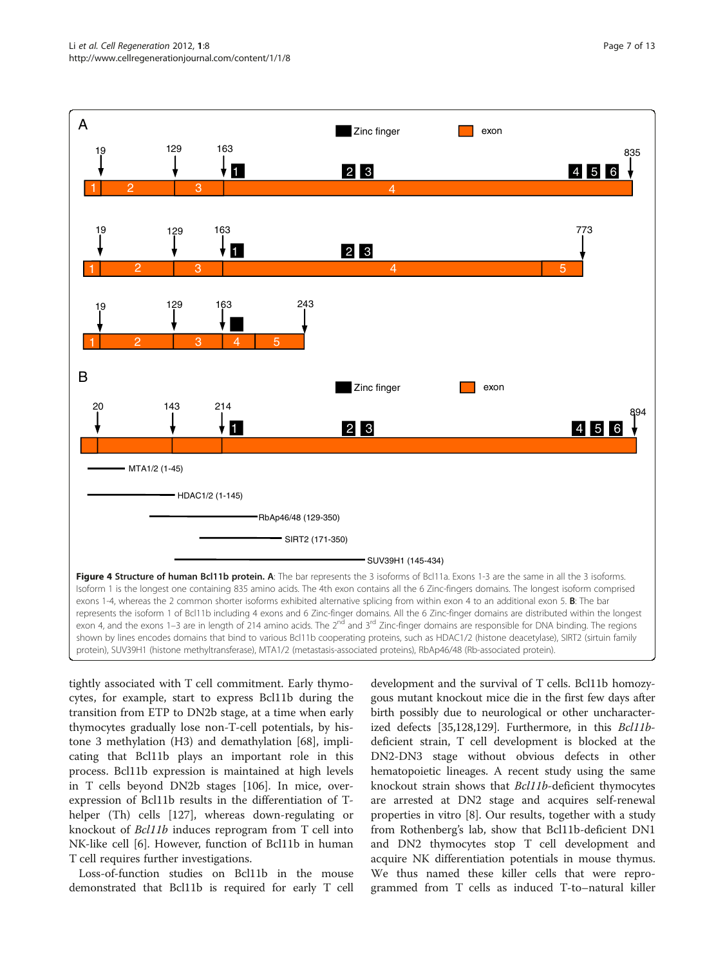<span id="page-6-0"></span>

tightly associated with T cell commitment. Early thymocytes, for example, start to express Bcl11b during the transition from ETP to DN2b stage, at a time when early thymocytes gradually lose non-T-cell potentials, by histone 3 methylation (H3) and demathylation [[68\]](#page-10-0), implicating that Bcl11b plays an important role in this process. Bcl11b expression is maintained at high levels in T cells beyond DN2b stages [[106](#page-11-0)]. In mice, overexpression of Bcl11b results in the differentiation of Thelper (Th) cells [[127](#page-11-0)], whereas down-regulating or knockout of Bcl11b induces reprogram from T cell into NK-like cell [[6\]](#page-9-0). However, function of Bcl11b in human T cell requires further investigations.

Loss-of-function studies on Bcl11b in the mouse demonstrated that Bcl11b is required for early T cell development and the survival of T cells. Bcl11b homozygous mutant knockout mice die in the first few days after birth possibly due to neurological or other uncharacterized defects [[35](#page-9-0)[,128,129](#page-11-0)]. Furthermore, in this Bcl11bdeficient strain, T cell development is blocked at the DN2-DN3 stage without obvious defects in other hematopoietic lineages. A recent study using the same knockout strain shows that Bcl11b-deficient thymocytes are arrested at DN2 stage and acquires self-renewal properties in vitro [\[8](#page-9-0)]. Our results, together with a study from Rothenberg's lab, show that Bcl11b-deficient DN1 and DN2 thymocytes stop T cell development and acquire NK differentiation potentials in mouse thymus. We thus named these killer cells that were reprogrammed from T cells as induced T-to–natural killer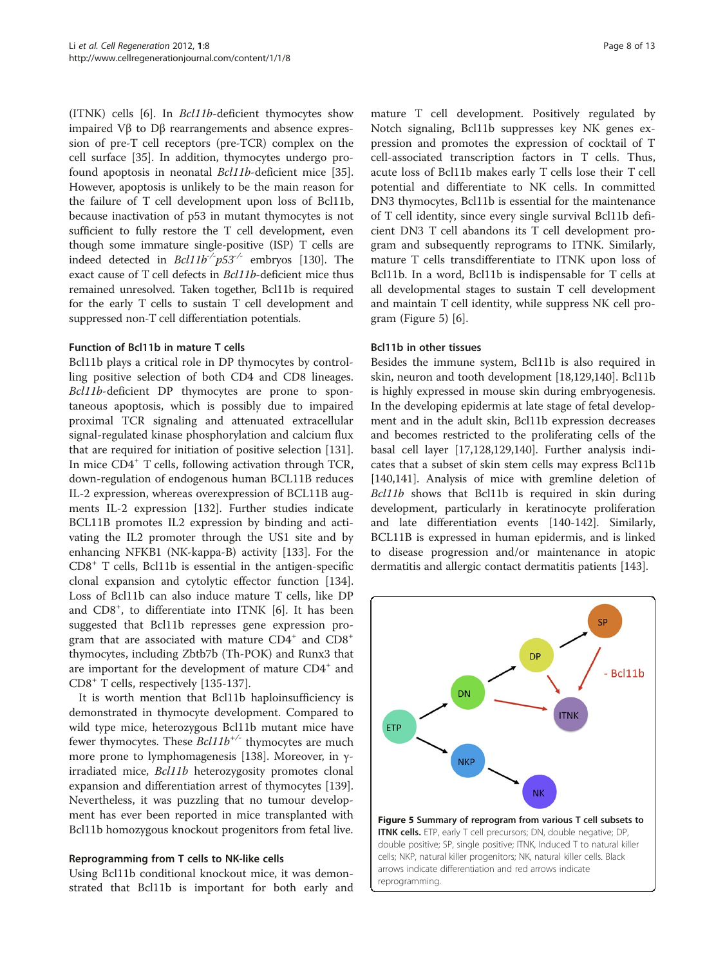(ITNK) cells [[6\]](#page-9-0). In Bcl11b-deficient thymocytes show impaired Vβ to Dβ rearrangements and absence expression of pre-T cell receptors (pre-TCR) complex on the cell surface [\[35](#page-9-0)]. In addition, thymocytes undergo profound apoptosis in neonatal Bcl11b-deficient mice [\[35](#page-9-0)]. However, apoptosis is unlikely to be the main reason for the failure of T cell development upon loss of Bcl11b, because inactivation of p53 in mutant thymocytes is not sufficient to fully restore the T cell development, even though some immature single-positive (ISP) T cells are indeed detected in  $Bcl11b^{-/-}p53^{-/-}$  embryos [\[130](#page-11-0)]. The exact cause of T cell defects in Bcl11b-deficient mice thus remained unresolved. Taken together, Bcl11b is required for the early T cells to sustain T cell development and suppressed non-T cell differentiation potentials.

#### Function of Bcl11b in mature T cells

Bcl11b plays a critical role in DP thymocytes by controlling positive selection of both CD4 and CD8 lineages. Bcl11b-deficient DP thymocytes are prone to spontaneous apoptosis, which is possibly due to impaired proximal TCR signaling and attenuated extracellular signal-regulated kinase phosphorylation and calcium flux that are required for initiation of positive selection [\[131](#page-11-0)]. In mice CD4<sup>+</sup> T cells, following activation through TCR, down-regulation of endogenous human BCL11B reduces IL-2 expression, whereas overexpression of BCL11B augments IL-2 expression [\[132](#page-11-0)]. Further studies indicate BCL11B promotes IL2 expression by binding and activating the IL2 promoter through the US1 site and by enhancing NFKB1 (NK-kappa-B) activity [\[133\]](#page-11-0). For the  $CD8<sup>+</sup>$  T cells, Bcl11b is essential in the antigen-specific clonal expansion and cytolytic effector function [\[134](#page-12-0)]. Loss of Bcl11b can also induce mature T cells, like DP and CD8<sup>+</sup>, to differentiate into ITNK [\[6](#page-9-0)]. It has been suggested that Bcl11b represses gene expression program that are associated with mature  $CD4^+$  and  $CD8^+$ thymocytes, including Zbtb7b (Th-POK) and Runx3 that are important for the development of mature CD4<sup>+</sup> and CD8<sup>+</sup> T cells, respectively [[135-137\]](#page-12-0).

It is worth mention that Bcl11b haploinsufficiency is demonstrated in thymocyte development. Compared to wild type mice, heterozygous Bcl11b mutant mice have fewer thymocytes. These  $Bcl11b^{+/}$  thymocytes are much more prone to lymphomagenesis [\[138\]](#page-12-0). Moreover, in γirradiated mice, Bcl11b heterozygosity promotes clonal expansion and differentiation arrest of thymocytes [\[139](#page-12-0)]. Nevertheless, it was puzzling that no tumour development has ever been reported in mice transplanted with Bcl11b homozygous knockout progenitors from fetal live.

# Reprogramming from T cells to NK-like cells

Using Bcl11b conditional knockout mice, it was demonstrated that Bcl11b is important for both early and

mature T cell development. Positively regulated by Notch signaling, Bcl11b suppresses key NK genes expression and promotes the expression of cocktail of T cell-associated transcription factors in T cells. Thus, acute loss of Bcl11b makes early T cells lose their T cell potential and differentiate to NK cells. In committed DN3 thymocytes, Bcl11b is essential for the maintenance of T cell identity, since every single survival Bcl11b deficient DN3 T cell abandons its T cell development program and subsequently reprograms to ITNK. Similarly, mature T cells transdifferentiate to ITNK upon loss of Bcl11b. In a word, Bcl11b is indispensable for T cells at all developmental stages to sustain T cell development and maintain T cell identity, while suppress NK cell program (Figure 5) [[6\]](#page-9-0).

#### Bcl11b in other tissues

Besides the immune system, Bcl11b is also required in skin, neuron and tooth development [\[18](#page-9-0)[,129](#page-11-0)[,140\]](#page-12-0). Bcl11b is highly expressed in mouse skin during embryogenesis. In the developing epidermis at late stage of fetal development and in the adult skin, Bcl11b expression decreases and becomes restricted to the proliferating cells of the basal cell layer [[17,](#page-9-0)[128,129](#page-11-0)[,140\]](#page-12-0). Further analysis indicates that a subset of skin stem cells may express Bcl11b [[140,141](#page-12-0)]. Analysis of mice with gremline deletion of Bcl11b shows that Bcl11b is required in skin during development, particularly in keratinocyte proliferation and late differentiation events [\[140-142](#page-12-0)]. Similarly, BCL11B is expressed in human epidermis, and is linked to disease progression and/or maintenance in atopic dermatitis and allergic contact dermatitis patients [[143\]](#page-12-0).

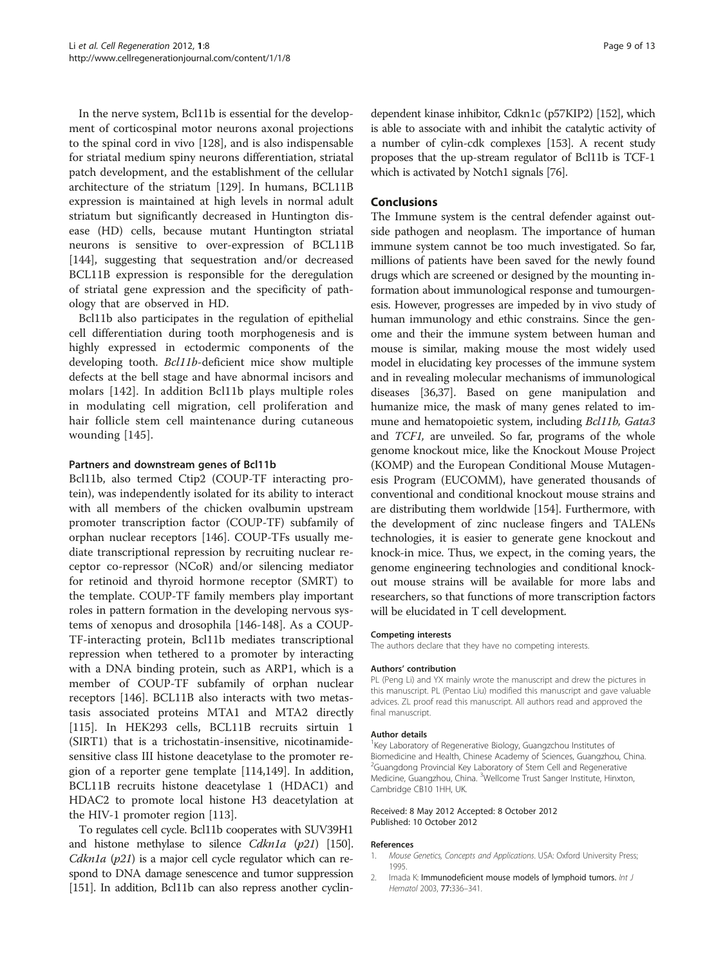<span id="page-8-0"></span>In the nerve system, Bcl11b is essential for the development of corticospinal motor neurons axonal projections to the spinal cord in vivo [\[128\]](#page-11-0), and is also indispensable for striatal medium spiny neurons differentiation, striatal patch development, and the establishment of the cellular architecture of the striatum [[129](#page-11-0)]. In humans, BCL11B expression is maintained at high levels in normal adult striatum but significantly decreased in Huntington disease (HD) cells, because mutant Huntington striatal neurons is sensitive to over-expression of BCL11B [[144\]](#page-12-0), suggesting that sequestration and/or decreased BCL11B expression is responsible for the deregulation of striatal gene expression and the specificity of pathology that are observed in HD.

Bcl11b also participates in the regulation of epithelial cell differentiation during tooth morphogenesis and is highly expressed in ectodermic components of the developing tooth. Bcl11b-deficient mice show multiple defects at the bell stage and have abnormal incisors and molars [\[142\]](#page-12-0). In addition Bcl11b plays multiple roles in modulating cell migration, cell proliferation and hair follicle stem cell maintenance during cutaneous wounding [[145](#page-12-0)].

#### Partners and downstream genes of Bcl11b

Bcl11b, also termed Ctip2 (COUP-TF interacting protein), was independently isolated for its ability to interact with all members of the chicken ovalbumin upstream promoter transcription factor (COUP-TF) subfamily of orphan nuclear receptors [[146\]](#page-12-0). COUP-TFs usually mediate transcriptional repression by recruiting nuclear receptor co-repressor (NCoR) and/or silencing mediator for retinoid and thyroid hormone receptor (SMRT) to the template. COUP-TF family members play important roles in pattern formation in the developing nervous systems of xenopus and drosophila [\[146](#page-12-0)-[148](#page-12-0)]. As a COUP-TF-interacting protein, Bcl11b mediates transcriptional repression when tethered to a promoter by interacting with a DNA binding protein, such as ARP1, which is a member of COUP-TF subfamily of orphan nuclear receptors [[146](#page-12-0)]. BCL11B also interacts with two metastasis associated proteins MTA1 and MTA2 directly [[115\]](#page-11-0). In HEK293 cells, BCL11B recruits sirtuin 1 (SIRT1) that is a trichostatin-insensitive, nicotinamidesensitive class III histone deacetylase to the promoter region of a reporter gene template [\[114](#page-11-0)[,149\]](#page-12-0). In addition, BCL11B recruits histone deacetylase 1 (HDAC1) and HDAC2 to promote local histone H3 deacetylation at the HIV-1 promoter region [[113](#page-11-0)].

To regulates cell cycle. Bcl11b cooperates with SUV39H1 and histone methylase to silence *Cdkn1a*  $(p21)$  [\[150](#page-12-0)]. Cdkn1a  $(p21)$  is a major cell cycle regulator which can respond to DNA damage senescence and tumor suppression [[151\]](#page-12-0). In addition, Bcl11b can also repress another cyclin-

dependent kinase inhibitor, Cdkn1c (p57KIP2) [\[152](#page-12-0)], which is able to associate with and inhibit the catalytic activity of a number of cylin-cdk complexes [\[153](#page-12-0)]. A recent study proposes that the up-stream regulator of Bcl11b is TCF-1 which is activated by Notch1 signals [\[76\]](#page-10-0).

# Conclusions

The Immune system is the central defender against outside pathogen and neoplasm. The importance of human immune system cannot be too much investigated. So far, millions of patients have been saved for the newly found drugs which are screened or designed by the mounting information about immunological response and tumourgenesis. However, progresses are impeded by in vivo study of human immunology and ethic constrains. Since the genome and their the immune system between human and mouse is similar, making mouse the most widely used model in elucidating key processes of the immune system and in revealing molecular mechanisms of immunological diseases [\[36,37\]](#page-9-0). Based on gene manipulation and humanize mice, the mask of many genes related to immune and hematopoietic system, including *Bcl11b*, *Gata3* and TCF1, are unveiled. So far, programs of the whole genome knockout mice, like the Knockout Mouse Project (KOMP) and the European Conditional Mouse Mutagenesis Program (EUCOMM), have generated thousands of conventional and conditional knockout mouse strains and are distributing them worldwide [[154](#page-12-0)]. Furthermore, with the development of zinc nuclease fingers and TALENs technologies, it is easier to generate gene knockout and knock-in mice. Thus, we expect, in the coming years, the genome engineering technologies and conditional knockout mouse strains will be available for more labs and researchers, so that functions of more transcription factors will be elucidated in T cell development.

#### Competing interests

The authors declare that they have no competing interests.

#### Authors' contribution

PL (Peng Li) and YX mainly wrote the manuscript and drew the pictures in this manuscript. PL (Pentao Liu) modified this manuscript and gave valuable advices. ZL proof read this manuscript. All authors read and approved the final manuscript.

#### Author details

<sup>1</sup> Key Laboratory of Regenerative Biology, Guangzchou Institutes of Biomedicine and Health, Chinese Academy of Sciences, Guangzhou, China. <sup>2</sup>Guangdong Provincial Key Laboratory of Stem Cell and Regenerative Medicine, Guangzhou, China. <sup>3</sup>Wellcome Trust Sanger Institute, Hinxton Cambridge CB10 1HH, UK.

#### Received: 8 May 2012 Accepted: 8 October 2012 Published: 10 October 2012

#### References

- 1. Mouse Genetics, Concepts and Applications. USA: Oxford University Press; 1995.
- 2. Imada K: Immunodeficient mouse models of lymphoid tumors. Int J Hematol 2003, 77:336–341.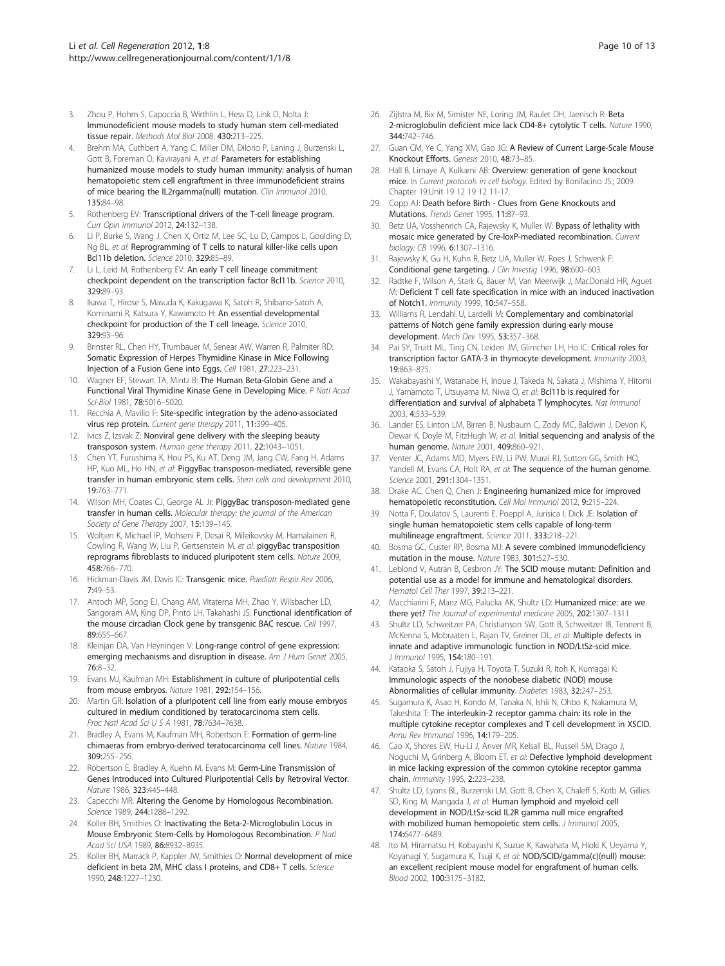- <span id="page-9-0"></span>3. Zhou P, Hohm S, Capoccia B, Wirthlin L, Hess D, Link D, Nolta J: Immunodeficient mouse models to study human stem cell-mediated tissue repair. Methods Mol Biol 2008, 430:213–225.
- Brehm MA, Cuthbert A, Yang C, Miller DM, Dilorio P, Laning J, Burzenski L, Gott B, Foreman O, Kavirayani A, et al: Parameters for establishing humanized mouse models to study human immunity: analysis of human hematopoietic stem cell engraftment in three immunodeficient strains of mice bearing the IL2rgamma(null) mutation. Clin Immunol 2010, 135:84–98.
- 5. Rothenberg EV: Transcriptional drivers of the T-cell lineage program. Curr Opin Immunol 2012, 24:132–138.
- 6. Li P, Burke S, Wang J, Chen X, Ortiz M, Lee SC, Lu D, Campos L, Goulding D, Ng BL, et al: Reprogramming of T cells to natural killer-like cells upon Bcl11b deletion. Science 2010, 329:85–89.
- Li L, Leid M, Rothenberg EV: An early T cell lineage commitment checkpoint dependent on the transcription factor Bcl11b. Science 2010, 329:89–93.
- Ikawa T, Hirose S, Masuda K, Kakugawa K, Satoh R, Shibano-Satoh A, Kominami R, Katsura Y, Kawamoto H: An essential developmental checkpoint for production of the T cell lineage. Science 2010, 329:93–96.
- 9. Brinster RL, Chen HY, Trumbauer M, Senear AW, Warren R, Palmiter RD: Somatic Expression of Herpes Thymidine Kinase in Mice Following Injection of a Fusion Gene into Eggs. Cell 1981, 27:223–231.
- 10. Wagner EF, Stewart TA, Mintz B: The Human Beta-Globin Gene and a Functional Viral Thymidine Kinase Gene in Developing Mice. P Natl Acad Sci-Biol 1981, 78:5016–5020.
- 11. Recchia A, Mavilio F: Site-specific integration by the adeno-associated virus rep protein. Current gene therapy 2011, 11:399-405.
- 12. Ivics Z, Izsvak Z: Nonviral gene delivery with the sleeping beauty transposon system. Human gene therapy 2011, 22:1043–1051.
- 13. Chen YT, Furushima K, Hou PS, Ku AT, Deng JM, Jang CW, Fang H, Adams HP, Kuo ML, Ho HN, et al: PiggyBac transposon-mediated, reversible gene transfer in human embryonic stem cells. Stem cells and development 2010, 19:763–771.
- 14. Wilson MH, Coates CJ, George AL Jr: PiggyBac transposon-mediated gene transfer in human cells. Molecular therapy: the journal of the American Society of Gene Therapy 2007, 15:139–145.
- 15. Woltjen K, Michael IP, Mohseni P, Desai R, Mileikovsky M, Hamalainen R, Cowling R, Wang W, Liu P, Gertsenstein M, et al: piggyBac transposition reprograms fibroblasts to induced pluripotent stem cells. Nature 2009, 458:766–770.
- 16. Hickman-Davis JM, Davis IC: Transgenic mice. Paediatr Respir Rev 2006, 7:49–53.
- 17. Antoch MP, Song EJ, Chang AM, Vitaterna MH, Zhao Y, Wilsbacher LD, Sangoram AM, King DP, Pinto LH, Takahashi JS: Functional identification of the mouse circadian Clock gene by transgenic BAC rescue. Cell 1997, 89:655–667.
- 18. Kleinjan DA, Van Heyningen V: Long-range control of gene expression: emerging mechanisms and disruption in disease. Am J Hum Genet 2005, 76:8–32.
- 19. Evans MJ, Kaufman MH: Establishment in culture of pluripotential cells from mouse embryos. Nature 1981, 292:154–156.
- 20. Martin GR: Isolation of a pluripotent cell line from early mouse embryos cultured in medium conditioned by teratocarcinoma stem cells. Proc Natl Acad Sci U S A 1981, 78:7634–7638.
- 21. Bradley A, Evans M, Kaufman MH, Robertson E: Formation of germ-line chimaeras from embryo-derived teratocarcinoma cell lines. Nature 1984, 309:255–256.
- 22. Robertson E, Bradley A, Kuehn M, Evans M: Germ-Line Transmission of Genes Introduced into Cultured Pluripotential Cells by Retroviral Vector. Nature 1986, 323:445–448.
- 23. Capecchi MR: Altering the Genome by Homologous Recombination. Science 1989, 244:1288–1292.
- 24. Koller BH, Smithies O: Inactivating the Beta-2-Microglobulin Locus in Mouse Embryonic Stem-Cells by Homologous Recombination. P Natl Acad Sci USA 1989, 86:8932–8935.
- 25. Koller BH, Marrack P, Kappler JW, Smithies O: Normal development of mice deficient in beta 2M, MHC class I proteins, and CD8+ T cells. Science 1990, 248:1227–1230.
- 26. Zijlstra M, Bix M, Simister NE, Loring JM, Raulet DH, Jaenisch R: Beta 2-microglobulin deficient mice lack CD4-8+ cytolytic T cells. Nature 1990, 344:742–746.
- 27. Guan CM, Ye C, Yang XM, Gao JG: A Review of Current Large-Scale Mouse Knockout Efforts. Genesis 2010, 48:73–85.
- 28. Hall B, Limaye A, Kulkarni AB: Overview: generation of gene knockout mice. In Current protocols in cell biology. Edited by Bonifacino JS.; 2009. Chapter 19:Unit 19 12 19 12 11-17.
- 29. Copp AJ: Death before Birth Clues from Gene Knockouts and Mutations. Trends Genet 1995, 11:87–93.
- 30. Betz UA, Vosshenrich CA, Rajewsky K, Muller W: Bypass of lethality with mosaic mice generated by Cre-loxP-mediated recombination. Current biology: CB 1996, 6:1307–1316.
- 31. Rajewsky K, Gu H, Kuhn R, Betz UA, Muller W, Roes J, Schwenk F: Conditional gene targeting. J Clin Investig 1996, 98:600-603.
- 32. Radtke F, Wilson A, Stark G, Bauer M, Van Meerwijk J, MacDonald HR, Aguet M: Deficient T cell fate specification in mice with an induced inactivation of Notch1. Immunity 1999, 10:547–558.
- 33. Williams R, Lendahl U, Lardelli M: Complementary and combinatorial patterns of Notch gene family expression during early mouse development. Mech Dev 1995, 53:357–368.
- Pai SY, Truitt ML, Ting CN, Leiden JM, Glimcher LH, Ho IC: Critical roles for transcription factor GATA-3 in thymocyte development. Immunity 2003, 19:863–875.
- 35. Wakabayashi Y, Watanabe H, Inoue J, Takeda N, Sakata J, Mishima Y, Hitomi J, Yamamoto T, Utsuyama M, Niwa O, et al: Bcl11b is required for differentiation and survival of alphabeta T lymphocytes. Nat Immunol 2003, 4:533–539.
- 36. Lander ES, Linton LM, Birren B, Nusbaum C, Zody MC, Baldwin J, Devon K, Dewar K, Doyle M, FitzHugh W, et al: Initial sequencing and analysis of the human genome. Nature 2001, 409:860–921.
- 37. Venter JC, Adams MD, Myers EW, Li PW, Mural RJ, Sutton GG, Smith HO, Yandell M, Evans CA, Holt RA, et al: The sequence of the human genome. Science 2001, 291:1304–1351.
- 38. Drake AC, Chen Q, Chen J: Engineering humanized mice for improved hematopoietic reconstitution. Cell Mol Immunol 2012, 9:215–224.
- 39. Notta F, Doulatov S, Laurenti E, Poeppl A, Jurisica I, Dick JE: Isolation of single human hematopoietic stem cells capable of long-term multilineage engraftment. Science 2011, 333:218–221.
- Bosma GC, Custer RP, Bosma MJ: A severe combined immunodeficiency mutation in the mouse. Nature 1983, 301:527–530.
- 41. Leblond V, Autran B, Cesbron JY: The SCID mouse mutant: Definition and potential use as a model for immune and hematological disorders. Hematol Cell Ther 1997, 39:213-221.
- 42. Macchiarini F, Manz MG, Palucka AK, Shultz LD: Humanized mice: are we there yet? The Journal of experimental medicine 2005, 202:1307-1311.
- 43. Shultz LD, Schweitzer PA, Christianson SW, Gott B, Schweitzer IB, Tennent B, McKenna S, Mobraaten L, Rajan TV, Greiner DL, et al: Multiple defects in innate and adaptive immunologic function in NOD/LtSz-scid mice. J Immunol 1995, 154:180–191.
- 44. Kataoka S, Satoh J, Fujiya H, Toyota T, Suzuki R, Itoh K, Kumagai K: Immunologic aspects of the nonobese diabetic (NOD) mouse Abnormalities of cellular immunity. Diabetes 1983, 32:247–253.
- 45. Sugamura K, Asao H, Kondo M, Tanaka N, Ishii N, Ohbo K, Nakamura M, Takeshita T: The interleukin-2 receptor gamma chain: its role in the multiple cytokine receptor complexes and T cell development in XSCID. Annu Rev Immunol 1996, 14:179–205.
- 46. Cao X, Shores EW, Hu-Li J, Anver MR, Kelsall BL, Russell SM, Drago J, Noguchi M, Grinberg A, Bloom ET, et al: Defective lymphoid development in mice lacking expression of the common cytokine receptor gamma chain. Immunity 1995, 2:223–238.
- 47. Shultz LD, Lyons BL, Burzenski LM, Gott B, Chen X, Chaleff S, Kotb M, Gillies SD, King M, Mangada J, et al: Human lymphoid and myeloid cell development in NOD/LtSz-scid IL2R gamma null mice engrafted with mobilized human hemopoietic stem cells. J Immunol 2005, 174:6477–6489.
- 48. Ito M, Hiramatsu H, Kobayashi K, Suzue K, Kawahata M, Hioki K, Ueyama Y, Koyanagi Y, Sugamura K, Tsuji K, et al: NOD/SCID/gamma(c)(null) mouse: an excellent recipient mouse model for engraftment of human cells. Blood 2002, 100:3175–3182.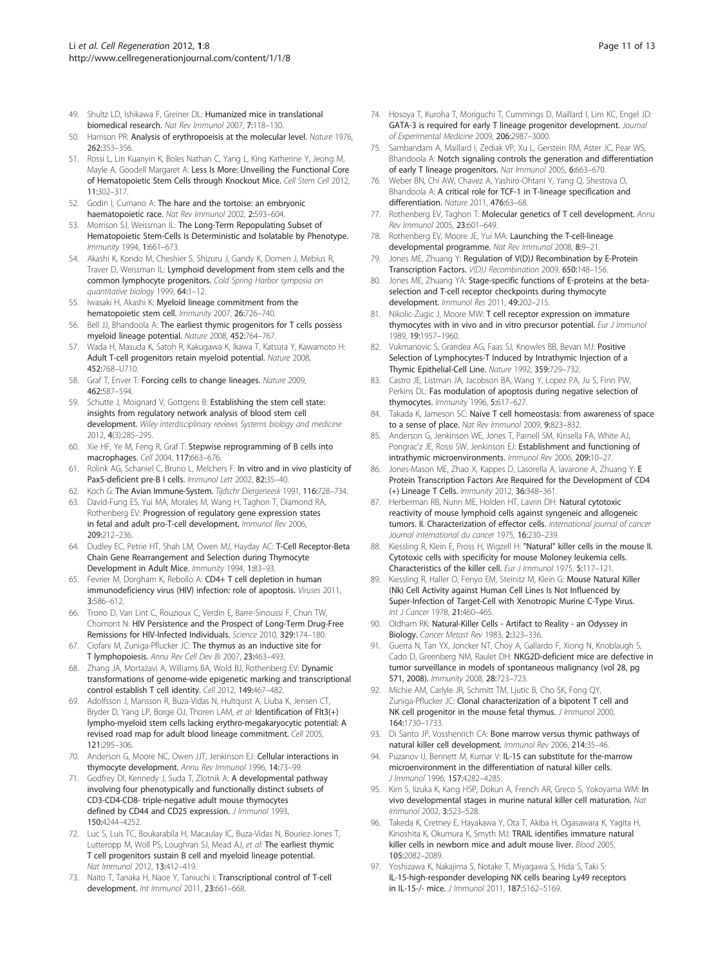- <span id="page-10-0"></span>49. Shultz LD, Ishikawa F, Greiner DL: Humanized mice in translational biomedical research. Nat Rev Immunol 2007, 7:118–130.
- 50. Harrison PR: Analysis of erythropoeisis at the molecular level. Nature 1976, 262:353–356.
- 51. Rossi L, Lin Kuanyin K, Boles Nathan C, Yang L, King Katherine Y, Jeong M, Mayle A, Goodell Margaret A: Less Is More: Unveiling the Functional Core of Hematopoietic Stem Cells through Knockout Mice. Cell Stem Cell 2012, 11:302–317.
- 52. Godin I, Cumano A: The hare and the tortoise: an embryonic haematopoietic race. Nat Rev Immunol 2002, 2:593–604.
- 53. Morrison SJ, Weissman IL: The Long-Term Repopulating Subset of Hematopoietic Stem-Cells Is Deterministic and Isolatable by Phenotype. Immunity 1994, 1:661–673.
- 54. Akashi K, Kondo M, Cheshier S, Shizuru J, Gandy K, Domen J, Mebius R, Traver D, Weissman IL: Lymphoid development from stem cells and the common lymphocyte progenitors. Cold Spring Harbor symposia on quantitative biology 1999, 64:1–12.
- 55. Iwasaki H, Akashi K: Myeloid lineage commitment from the hematopoietic stem cell. Immunity 2007, 26:726–740.
- 56. Bell JJ, Bhandoola A: The earliest thymic progenitors for T cells possess myeloid lineage potential. Nature 2008, 452:764–767.
- 57. Wada H, Masuda K, Satoh R, Kakugawa K, Ikawa T, Katsura Y, Kawamoto H: Adult T-cell progenitors retain myeloid potential. Nature 2008, 452:768–U710.
- 58. Graf T, Enver T: Forcing cells to change lineages. Nature 2009, 462:587–594.
- 59. Schutte J, Moignard V, Gottgens B: Establishing the stem cell state: insights from regulatory network analysis of blood stem cell development. Wiley interdisciplinary reviews Systems biology and medicine 2012, 4(3):285–295.
- 60. Xie HF, Ye M, Feng R, Graf T: Stepwise reprogramming of B cells into macrophages. Cell 2004, 117:663–676.
- 61. Rolink AG, Schaniel C, Bruno L, Melchers F: In vitro and in vivo plasticity of Pax5-deficient pre-B I cells. Immunol Lett 2002, 82:35-40.
- 62. Koch G: The Avian Immune-System. Tijdschr Diergeneesk 1991, 116:728–734.
- 63. David-Fung ES, Yui MA, Morales M, Wang H, Taghon T, Diamond RA, Rothenberg EV: Progression of regulatory gene expression states in fetal and adult pro-T-cell development. Immunol Rev 2006, 209:212–236.
- 64. Dudley EC, Petrie HT, Shah LM, Owen MJ, Hayday AC: T-Cell Receptor-Beta Chain Gene Rearrangement and Selection during Thymocyte Development in Adult Mice. Immunity 1994, 1:83–93.
- 65. Fevrier M, Dorgham K, Rebollo A: CD4+ T cell depletion in human immunodeficiency virus (HIV) infection: role of apoptosis. Viruses 2011, 3:586–612.
- 66. Trono D, Van Lint C, Rouzioux C, Verdin E, Barre-Sinoussi F, Chun TW, Chomont N: HIV Persistence and the Prospect of Long-Term Drug-Free Remissions for HIV-Infected Individuals. Science 2010, 329:174–180.
- 67. Ciofani M, Zuniga-Pflucker JC: The thymus as an inductive site for T lymphopoiesis. Annu Rev Cell Dev Bi 2007, 23:463–493.
- 68. Zhang JA, Mortazavi A, Williams BA, Wold BJ, Rothenberg EV: Dynamic transformations of genome-wide epigenetic marking and transcriptional control establish T cell identity. Cell 2012, 149:467–482.
- 69. Adolfsson J, Mansson R, Buza-Vidas N, Hultquist A, Liuba K, Jensen CT, Bryder D, Yang LP, Borge OJ, Thoren LAM, et al: Identification of Flt3(+) lympho-myeloid stem cells lacking erythro-megakaryocytic potential: A revised road map for adult blood lineage commitment. Cell 2005, 121:295–306.
- 70. Anderson G, Moore NC, Owen JJT, Jenkinson EJ: Cellular interactions in thymocyte development. Annu Rev Immunol 1996, 14:73–99.
- 71. Godfrey DI, Kennedy J, Suda T, Zlotnik A: A developmental pathway involving four phenotypically and functionally distinct subsets of CD3-CD4-CD8- triple-negative adult mouse thymocytes defined by CD44 and CD25 expression. J Immunol 1993, 150:4244–4252.
- 72. Luc S, Luis TC, Boukarabila H, Macaulay IC, Buza-Vidas N, Bouriez-Jones T, Lutteropp M, Woll PS, Loughran SJ, Mead AJ, et al: The earliest thymic T cell progenitors sustain B cell and myeloid lineage potential. Nat Immunol 2012, 13:412–419.
- 73. Naito T, Tanaka H, Naoe Y, Taniuchi I: Transcriptional control of T-cell development. Int Immunol 2011, 23:661-668.
- 74. Hosoya T, Kuroha T, Moriguchi T, Cummings D, Maillard I, Lim KC, Engel JD: GATA-3 is required for early T lineage progenitor development. Journal of Experimental Medicine 2009, 206:2987–3000.
- 75. Sambandam A, Maillard I, Zediak VP, Xu L, Gerstein RM, Aster JC, Pear WS, Bhandoola A: Notch signaling controls the generation and differentiation of early T lineage progenitors. Nat Immunol 2005, 6:663–670.
- 76. Weber BN, Chi AW, Chavez A, Yashiro-Ohtani Y, Yang Q, Shestova O, Bhandoola A: A critical role for TCF-1 in T-lineage specification and differentiation. Nature 2011, 476:63–68.
- 77. Rothenberg EV, Taghon T: Molecular genetics of T cell development. Annu Rev Immunol 2005, 23:601-649.
- 78. Rothenberg EV, Moore JE, Yui MA: Launching the T-cell-lineage developmental programme. Nat Rev Immunol 2008, 8:9–21.
- 79. Jones ME, Zhuang Y: Regulation of V(D)J Recombination by E-Protein Transcription Factors. V(D)J Recombination 2009, 650:148–156.
- 80. Jones ME, Zhuang YA: Stage-specific functions of E-proteins at the betaselection and T-cell receptor checkpoints during thymocyte development. Immunol Res 2011, 49:202–215.
- 81. Nikolic-Zugic J, Moore MW: T cell receptor expression on immature thymocytes with in vivo and in vitro precursor potential. Eur J Immunol 1989, 19:1957–1960.
- Vukmanovic S, Grandea AG, Faas SJ, Knowles BB, Bevan MJ: Positive Selection of Lymphocytes-T Induced by Intrathymic Injection of a Thymic Epithelial-Cell Line. Nature 1992, 359:729–732.
- Castro JE, Listman JA, Jacobson BA, Wang Y, Lopez PA, Ju S, Finn PW, Perkins DL: Fas modulation of apoptosis during negative selection of thymocytes. Immunity 1996, 5:617–627.
- 84. Takada K, Jameson SC: Naive T cell homeostasis: from awareness of space to a sense of place. Nat Rev Immunol 2009, 9:823-832.
- 85. Anderson G, Jenkinson WE, Jones T, Parnell SM, Kinsella FA, White AJ, Pongrac'z JE, Rossi SW, Jenkinson EJ: Establishment and functioning of intrathymic microenvironments. Immunol Rev 2006, 209:10–27.
- 86. Jones-Mason ME, Zhao X, Kappes D, Lasorella A, Iavarone A, Zhuang Y: E Protein Transcription Factors Are Required for the Development of CD4 (+) Lineage T Cells. Immunity 2012, 36:348–361.
- 87. Herberman RB, Nunn ME, Holden HT, Lavrin DH: Natural cytotoxic reactivity of mouse lymphoid cells against syngeneic and allogeneic tumors. II. Characterization of effector cells. International journal of cancer Journal international du cancer 1975, 16:230-239.
- 88. Kiessling R, Klein E, Pross H, Wigzell H: "Natural" killer cells in the mouse II. Cytotoxic cells with specificity for mouse Moloney leukemia cells. Characteristics of the killer cell. Eur J Immunol 1975, 5:117–121.
- 89. Kiessling R, Haller O, Fenyo EM, Steinitz M, Klein G: Mouse Natural Killer (Nk) Cell Activity against Human Cell Lines Is Not Influenced by Super-Infection of Target-Cell with Xenotropic Murine C-Type Virus. Int J Cancer 1978, 21:460-465.
- 90. Oldham RK: Natural-Killer Cells Artifact to Reality an Odyssey in Biology. Cancer Metast Rev 1983, 2:323–336.
- 91. Guerra N, Tan YX, Joncker NT, Choy A, Gallardo F, Xiong N, Knoblaugh S, Cado D, Greenberg NM, Raulet DH: NKG2D-deficient mice are defective in tumor surveillance in models of spontaneous malignancy (vol 28, pg 571, 2008). Immunity 2008, 28:723–723.
- 92. Michie AM, Carlyle JR, Schmitt TM, Ljutic B, Cho SK, Fong QY, Zuniga-Pflucker JC: Clonal characterization of a bipotent T cell and NK cell progenitor in the mouse fetal thymus. *J Immunol* 2000, 164:1730–1733.
- 93. Di Santo JP, Vosshenrich CA: Bone marrow versus thymic pathways of natural killer cell development. Immunol Rev 2006, 214:35–46.
- 94. Puzanov IJ, Bennett M, Kumar V: IL-15 can substitute for the-marrow microenvironment in the differentiation of natural killer cells. J Immunol 1996, 157:4282–4285.
- 95. Kim S, Iizuka K, Kang HSP, Dokun A, French AR, Greco S, Yokoyama WM: In vivo developmental stages in murine natural killer cell maturation. Nat Immunol 2002, 3:523–528.
- 96. Takeda K, Cretney E, Hayakawa Y, Ota T, Akiba H, Ogasawara K, Yagita H, Kinoshita K, Okumura K, Smyth MJ: TRAIL identifies immature natural killer cells in newborn mice and adult mouse liver. Blood 2005, 105:2082–2089.
- 97. Yoshizawa K, Nakajima S, Notake T, Miyagawa S, Hida S, Taki S: IL-15-high-responder developing NK cells bearing Ly49 receptors in IL-15-/- mice. J Immunol 2011, 187:5162–5169.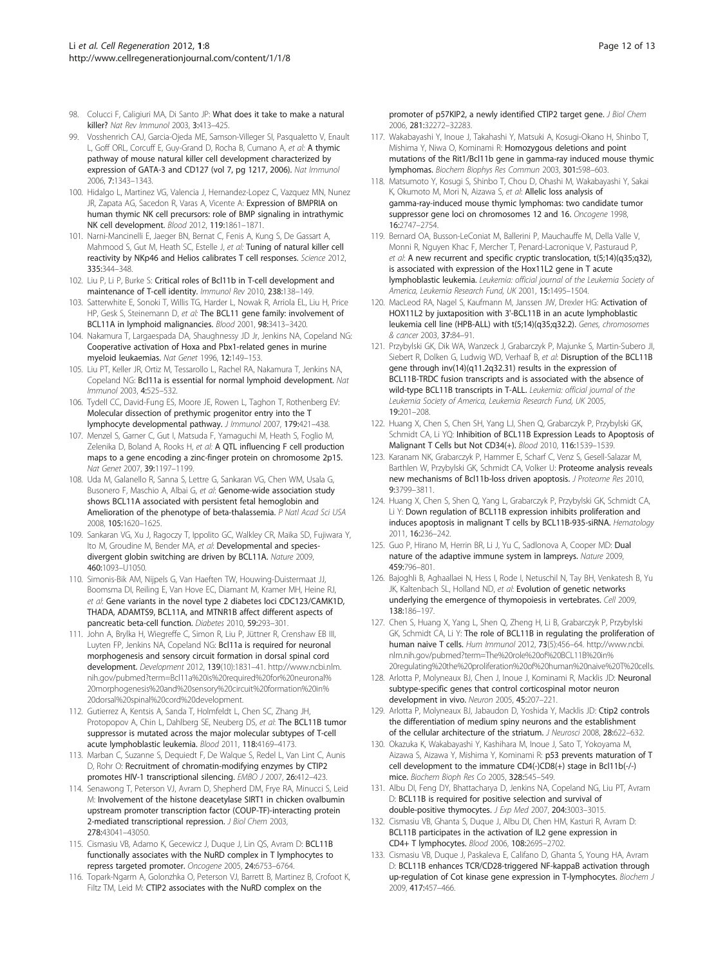- <span id="page-11-0"></span>98. Colucci F, Caligiuri MA, Di Santo JP: What does it take to make a natural killer? Nat Rev Immunol 2003, 3:413–425.
- 99. Vosshenrich CAJ, Garcia-Ojeda ME, Samson-Villeger SI, Pasqualetto V, Enault L, Goff ORL, Corcuff E, Guy-Grand D, Rocha B, Cumano A, et al: A thymic pathway of mouse natural killer cell development characterized by expression of GATA-3 and CD127 (vol 7, pg 1217, 2006). Nat Immunol 2006, 7:1343–1343.
- 100. Hidalgo L, Martinez VG, Valencia J, Hernandez-Lopez C, Vazquez MN, Nunez JR, Zapata AG, Sacedon R, Varas A, Vicente A: Expression of BMPRIA on human thymic NK cell precursors: role of BMP signaling in intrathymic NK cell development. Blood 2012, 119:1861–1871.
- 101. Narni-Mancinelli E, Jaeger BN, Bernat C, Fenis A, Kung S, De Gassart A, Mahmood S, Gut M, Heath SC, Estelle J, et al: Tuning of natural killer cell reactivity by NKp46 and Helios calibrates T cell responses. Science 2012, 335:344–348.
- 102. Liu P, Li P, Burke S: Critical roles of Bcl11b in T-cell development and maintenance of T-cell identity. Immunol Rev 2010, 238:138–149.
- 103. Satterwhite E, Sonoki T, Willis TG, Harder L, Nowak R, Arriola EL, Liu H, Price HP, Gesk S, Steinemann D, et al: The BCL11 gene family: involvement of BCL11A in lymphoid malignancies. Blood 2001, 98:3413–3420.
- 104. Nakamura T, Largaespada DA, Shaughnessy JD Jr, Jenkins NA, Copeland NG: Cooperative activation of Hoxa and Pbx1-related genes in murine myeloid leukaemias. Nat Genet 1996, 12:149–153.
- 105. Liu PT, Keller JR, Ortiz M, Tessarollo L, Rachel RA, Nakamura T, Jenkins NA, Copeland NG: Bcl11a is essential for normal lymphoid development. Nat Immunol 2003, 4:525–532.
- 106. Tydell CC, David-Fung ES, Moore JE, Rowen L, Taghon T, Rothenberg EV: Molecular dissection of prethymic progenitor entry into the T lymphocyte developmental pathway. J Immunol 2007, 179:421–438.
- 107. Menzel S, Garner C, Gut I, Matsuda F, Yamaguchi M, Heath S, Foglio M, Zelenika D, Boland A, Rooks H, et al: A QTL influencing F cell production maps to a gene encoding a zinc-finger protein on chromosome 2p15. Nat Genet 2007, 39:1197–1199.
- 108. Uda M, Galanello R, Sanna S, Lettre G, Sankaran VG, Chen WM, Usala G, Busonero F, Maschio A, Albai G, et al: Genome-wide association study shows BCL11A associated with persistent fetal hemoglobin and Amelioration of the phenotype of beta-thalassemia. P Natl Acad Sci USA 2008, 105:1620–1625.
- 109. Sankaran VG, Xu J, Ragoczy T, Ippolito GC, Walkley CR, Maika SD, Fujiwara Y, Ito M, Groudine M, Bender MA, et al: Developmental and speciesdivergent globin switching are driven by BCL11A. Nature 2009, 460:1093–U1050.
- 110. Simonis-Bik AM, Nijpels G, Van Haeften TW, Houwing-Duistermaat JJ, Boomsma DI, Reiling E, Van Hove EC, Diamant M, Kramer MH, Heine RJ, et al: Gene variants in the novel type 2 diabetes loci CDC123/CAMK1D, THADA, ADAMTS9, BCL11A, and MTNR1B affect different aspects of pancreatic beta-cell function. Diabetes 2010, 59:293–301.
- 111. John A, Brylka H, Wiegreffe C, Simon R, Liu P, Jüttner R, Crenshaw EB III, Luyten FP, Jenkins NA, Copeland NG: Bcl11a is required for neuronal morphogenesis and sensory circuit formation in dorsal spinal cord development. Development 2012, 139(10):1831–41. [http://www.ncbi.nlm.](http://www.ncbi.nlm.nih.gov/pubmed?term=Bcl11a%20is%20required%20for%20neuronal%20morphogenesis%20and%20sensory%20circuit%20formation%20in%20dorsal%20spinal%20cord%20development) [nih.gov/pubmed?term=Bcl11a%20is%20required%20for%20neuronal%](http://www.ncbi.nlm.nih.gov/pubmed?term=Bcl11a%20is%20required%20for%20neuronal%20morphogenesis%20and%20sensory%20circuit%20formation%20in%20dorsal%20spinal%20cord%20development) [20morphogenesis%20and%20sensory%20circuit%20formation%20in%](http://www.ncbi.nlm.nih.gov/pubmed?term=Bcl11a%20is%20required%20for%20neuronal%20morphogenesis%20and%20sensory%20circuit%20formation%20in%20dorsal%20spinal%20cord%20development) [20dorsal%20spinal%20cord%20development.](http://www.ncbi.nlm.nih.gov/pubmed?term=Bcl11a%20is%20required%20for%20neuronal%20morphogenesis%20and%20sensory%20circuit%20formation%20in%20dorsal%20spinal%20cord%20development)
- 112. Gutierrez A, Kentsis A, Sanda T, Holmfeldt L, Chen SC, Zhang JH, Protopopov A, Chin L, Dahlberg SE, Neuberg DS, et al: The BCL11B tumor suppressor is mutated across the major molecular subtypes of T-cell acute lymphoblastic leukemia. Blood 2011, 118:4169–4173.
- 113. Marban C, Suzanne S, Dequiedt F, De Walque S, Redel L, Van Lint C, Aunis D, Rohr O: Recruitment of chromatin-modifying enzymes by CTIP2 promotes HIV-1 transcriptional silencing. EMBO J 2007, 26:412–423.
- 114. Senawong T, Peterson VJ, Avram D, Shepherd DM, Frye RA, Minucci S, Leid M: Involvement of the histone deacetylase SIRT1 in chicken ovalbumin upstream promoter transcription factor (COUP-TF)-interacting protein 2-mediated transcriptional repression. *J Biol Chem 2003*, 278:43041–43050.
- 115. Cismasiu VB, Adamo K, Gecewicz J, Duque J, Lin QS, Avram D: BCL11B functionally associates with the NuRD complex in T lymphocytes to repress targeted promoter. Oncogene 2005, 24:6753–6764.
- 116. Topark-Ngarm A, Golonzhka O, Peterson VJ, Barrett B, Martinez B, Crofoot K, Filtz TM, Leid M: CTIP2 associates with the NuRD complex on the

promoter of p57KIP2, a newly identified CTIP2 target gene. J Biol Chem 2006, 281:32272–32283.

- 117. Wakabayashi Y, Inoue J, Takahashi Y, Matsuki A, Kosugi-Okano H, Shinbo T, Mishima Y, Niwa O, Kominami R: Homozygous deletions and point mutations of the Rit1/Bcl11b gene in gamma-ray induced mouse thymic lymphomas. Biochem Biophys Res Commun 2003, 301:598–603.
- 118. Matsumoto Y, Kosugi S, Shinbo T, Chou D, Ohashi M, Wakabayashi Y, Sakai K, Okumoto M, Mori N, Aizawa S, et al: Allelic loss analysis of gamma-ray-induced mouse thymic lymphomas: two candidate tumor suppressor gene loci on chromosomes 12 and 16. Oncogene 1998, 16:2747–2754.
- 119. Bernard OA, Busson-LeConiat M, Ballerini P, Mauchauffe M, Della Valle V, Monni R, Nguyen Khac F, Mercher T, Penard-Lacronique V, Pasturaud P, et al: A new recurrent and specific cryptic translocation, t(5;14)(q35;q32), is associated with expression of the Hox11L2 gene in T acute lymphoblastic leukemia. Leukemia: official journal of the Leukemia Society of America, Leukemia Research Fund, UK 2001, 15:1495–1504.
- 120. MacLeod RA, Nagel S, Kaufmann M, Janssen JW, Drexler HG: Activation of HOX11L2 by juxtaposition with 3'-BCL11B in an acute lymphoblastic leukemia cell line (HPB-ALL) with t(5;14)(q35;q32.2). Genes, chromosomes & cancer 2003, 37:84–91.
- 121. Przybylski GK, Dik WA, Wanzeck J, Grabarczyk P, Majunke S, Martin-Subero JI, Siebert R, Dolken G, Ludwig WD, Verhaaf B, et al: Disruption of the BCL11B gene through inv(14)(q11.2q32.31) results in the expression of BCL11B-TRDC fusion transcripts and is associated with the absence of wild-type BCL11B transcripts in T-ALL. Leukemia: official journal of the Leukemia Society of America, Leukemia Research Fund, UK 2005, 19:201–208.
- 122. Huang X, Chen S, Chen SH, Yang LJ, Shen Q, Grabarczyk P, Przybylski GK, Schmidt CA, Li YQ: Inhibition of BCL11B Expression Leads to Apoptosis of Malignant T Cells but Not CD34(+). Blood 2010, 116:1539–1539.
- 123. Karanam NK, Grabarczyk P, Hammer E, Scharf C, Venz S, Gesell-Salazar M, Barthlen W, Przybylski GK, Schmidt CA, Volker U: Proteome analysis reveals new mechanisms of Bcl11b-loss driven apoptosis. J Proteome Res 2010, 9:3799–3811.
- 124. Huang X, Chen S, Shen Q, Yang L, Grabarczyk P, Przybylski GK, Schmidt CA, Li Y: Down regulation of BCL11B expression inhibits proliferation and induces apoptosis in malignant T cells by BCL11B-935-siRNA. Hematology 2011, 16:236–242.
- 125. Guo P, Hirano M, Herrin BR, Li J, Yu C, Sadlonova A, Cooper MD: Dual nature of the adaptive immune system in lampreys. Nature 2009, 459:796–801.
- 126. Bajoghli B, Aghaallaei N, Hess I, Rode I, Netuschil N, Tay BH, Venkatesh B, Yu JK, Kaltenbach SL, Holland ND, et al: Evolution of genetic networks underlying the emergence of thymopoiesis in vertebrates. Cell 2009, 138:186–197.
- 127. Chen S, Huang X, Yang L, Shen Q, Zheng H, Li B, Grabarczyk P, Przybylski GK, Schmidt CA, Li Y: The role of BCL11B in regulating the proliferation of human naive T cells. Hum Immunol 2012, 73(5):456–64. [http://www.ncbi.](http://www.ncbi.nlm.nih.gov/pubmed?term=The%20role%20of%20BCL11B%20in%20regulating%20the%20proliferation%20of%20human%20naive%20T%20cells) [nlm.nih.gov/pubmed?term=The%20role%20of%20BCL11B%20in%](http://www.ncbi.nlm.nih.gov/pubmed?term=The%20role%20of%20BCL11B%20in%20regulating%20the%20proliferation%20of%20human%20naive%20T%20cells) [20regulating%20the%20proliferation%20of%20human%20naive%20T%20cells](http://www.ncbi.nlm.nih.gov/pubmed?term=The%20role%20of%20BCL11B%20in%20regulating%20the%20proliferation%20of%20human%20naive%20T%20cells).
- 128. Arlotta P, Molyneaux BJ, Chen J, Inoue J, Kominami R, Macklis JD: Neuronal subtype-specific genes that control corticospinal motor neuron development in vivo. Neuron 2005, 45:207–221.
- 129. Arlotta P, Molyneaux BJ, Jabaudon D, Yoshida Y, Macklis JD: Ctip2 controls the differentiation of medium spiny neurons and the establishment of the cellular architecture of the striatum. J Neurosci 2008, 28:622–632.
- 130. Okazuka K, Wakabayashi Y, Kashihara M, Inoue J, Sato T, Yokoyama M, Aizawa S, Aizawa Y, Mishima Y, Kominami R: p53 prevents maturation of T cell development to the immature CD4(-)CD8(+) stage in Bcl11b(-/-) mice. Biochem Bioph Res Co 2005, 328:545–549.
- 131. Albu DI, Feng DY, Bhattacharya D, Jenkins NA, Copeland NG, Liu PT, Avram D: BCL11B is required for positive selection and survival of double-positive thymocytes. J Exp Med 2007, 204:3003–3015.
- 132. Cismasiu VB, Ghanta S, Duque J, Albu DI, Chen HM, Kasturi R, Avram D: BCL11B participates in the activation of IL2 gene expression in CD4+ T lymphocytes. Blood 2006, 108:2695–2702.
- 133. Cismasiu VB, Duque J, Paskaleva E, Califano D, Ghanta S, Young HA, Avram D: BCL11B enhances TCR/CD28-triggered NF-kappaB activation through up-regulation of Cot kinase gene expression in T-lymphocytes. Biochem J 2009, 417:457–466.